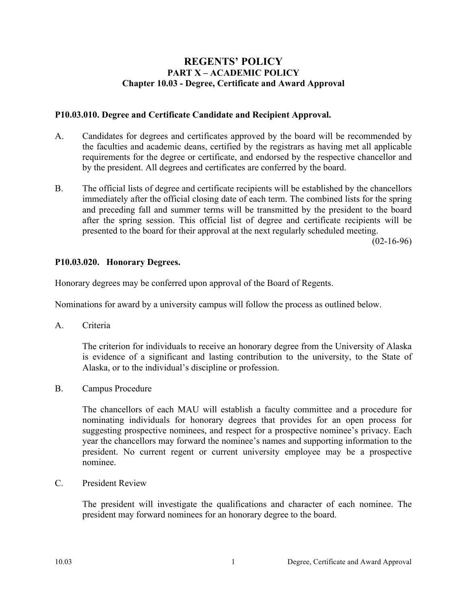# **REGENTS' POLICY PART X – ACADEMIC POLICY Chapter 10.03 - Degree, Certificate and Award Approval**

## **P10.03.010. Degree and Certificate Candidate and Recipient Approval.**

- A. Candidates for degrees and certificates approved by the board will be recommended by the faculties and academic deans, certified by the registrars as having met all applicable requirements for the degree or certificate, and endorsed by the respective chancellor and by the president. All degrees and certificates are conferred by the board.
- B. The official lists of degree and certificate recipients will be established by the chancellors immediately after the official closing date of each term. The combined lists for the spring and preceding fall and summer terms will be transmitted by the president to the board after the spring session. This official list of degree and certificate recipients will be presented to the board for their approval at the next regularly scheduled meeting.

 $(02-16-96)$ 

## **P10.03.020. Honorary Degrees.**

Honorary degrees may be conferred upon approval of the Board of Regents.

Nominations for award by a university campus will follow the process as outlined below.

A. Criteria

The criterion for individuals to receive an honorary degree from the University of Alaska is evidence of a significant and lasting contribution to the university, to the State of Alaska, or to the individual's discipline or profession.

B. Campus Procedure

The chancellors of each MAU will establish a faculty committee and a procedure for nominating individuals for honorary degrees that provides for an open process for suggesting prospective nominees, and respect for a prospective nominee's privacy. Each year the chancellors may forward the nominee's names and supporting information to the president. No current regent or current university employee may be a prospective nominee.

C. President Review

The president will investigate the qualifications and character of each nominee. The president may forward nominees for an honorary degree to the board.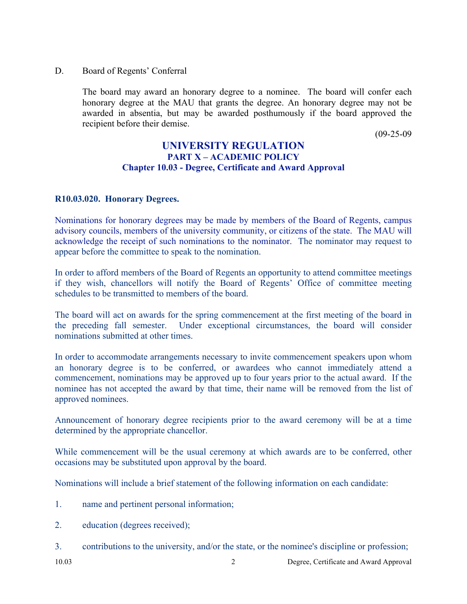#### D. Board of Regents' Conferral

The board may award an honorary degree to a nominee. The board will confer each honorary degree at the MAU that grants the degree. An honorary degree may not be awarded in absentia, but may be awarded posthumously if the board approved the recipient before their demise.

(09-25-09

## **UNIVERSITY REGULATION PART X – ACADEMIC POLICY Chapter 10.03 - Degree, Certificate and Award Approval**

### **R10.03.020. Honorary Degrees.**

Nominations for honorary degrees may be made by members of the Board of Regents, campus advisory councils, members of the university community, or citizens of the state. The MAU will acknowledge the receipt of such nominations to the nominator. The nominator may request to appear before the committee to speak to the nomination.

In order to afford members of the Board of Regents an opportunity to attend committee meetings if they wish, chancellors will notify the Board of Regents' Office of committee meeting schedules to be transmitted to members of the board.

The board will act on awards for the spring commencement at the first meeting of the board in the preceding fall semester. Under exceptional circumstances, the board will consider nominations submitted at other times.

In order to accommodate arrangements necessary to invite commencement speakers upon whom an honorary degree is to be conferred, or awardees who cannot immediately attend a commencement, nominations may be approved up to four years prior to the actual award. If the nominee has not accepted the award by that time, their name will be removed from the list of approved nominees.

Announcement of honorary degree recipients prior to the award ceremony will be at a time determined by the appropriate chancellor.

While commencement will be the usual ceremony at which awards are to be conferred, other occasions may be substituted upon approval by the board.

Nominations will include a brief statement of the following information on each candidate:

- 1. name and pertinent personal information;
- 2. education (degrees received);
- 3. contributions to the university, and/or the state, or the nominee's discipline or profession;